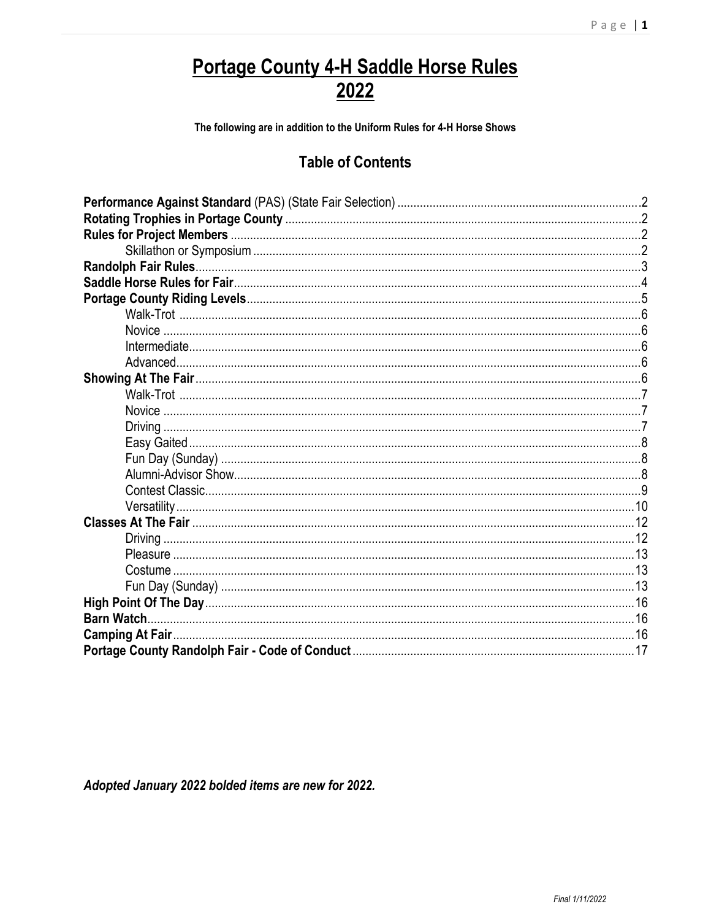# <u>Portage County 4-H Saddle Horse Rules</u><br>2022

The following are in addition to the Uniform Rules for 4-H Horse Shows

# **Table of Contents**

Adopted January 2022 bolded items are new for 2022.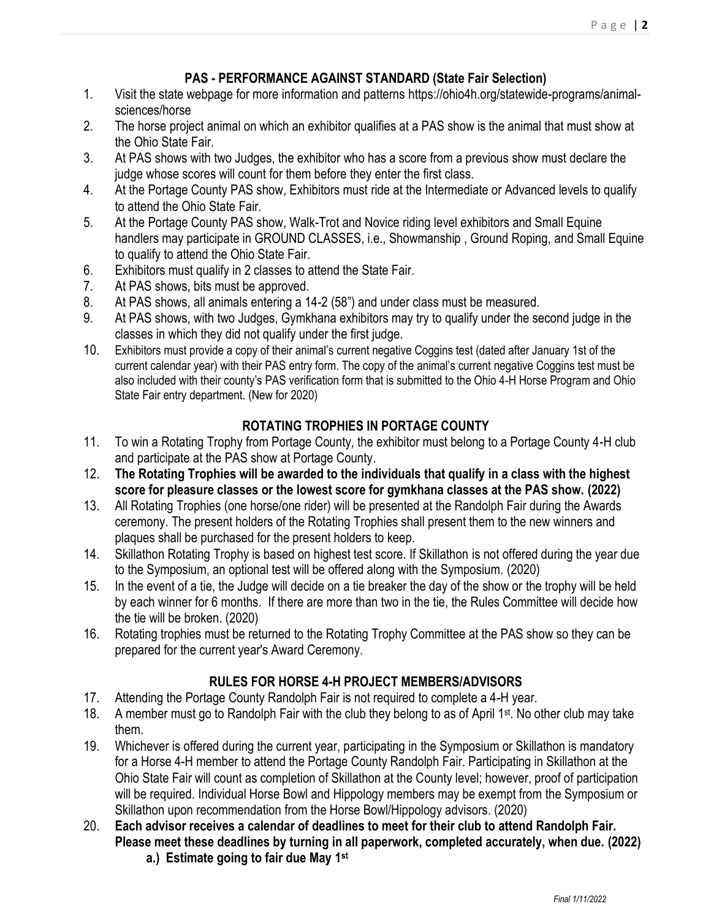# **PAS - PERFORMANCE AGAINST STANDARD (State Fair Selection)**

- 1. Visit the state webpage for more information and patterns https://ohio4h.org/statewide-programs/animalsciences/horse
- 2. The horse project animal on which an exhibitor qualifies at a PAS show is the animal that must show at the Ohio State Fair.
- 3. At PAS shows with two Judges, the exhibitor who has a score from a previous show must declare the judge whose scores will count for them before they enter the first class.
- 4. At the Portage County PAS show, Exhibitors must ride at the Intermediate or Advanced levels to qualify to attend the Ohio State Fair.
- 5. At the Portage County PAS show, Walk-Trot and Novice riding level exhibitors and Small Equine handlers may participate in GROUND CLASSES, i.e., Showmanship , Ground Roping, and Small Equine to qualify to attend the Ohio State Fair.
- 6. Exhibitors must qualify in 2 classes to attend the State Fair.
- 7. At PAS shows, bits must be approved.
- 8. At PAS shows, all animals entering a 14-2 (58") and under class must be measured.
- 9. At PAS shows, with two Judges, Gymkhana exhibitors may try to qualify under the second judge in the classes in which they did not qualify under the first judge.
- 10. Exhibitors must provide a copy of their animal's current negative Coggins test (dated after January 1st of the current calendar year) with their PAS entry form. The copy of the animal's current negative Coggins test must be also included with their county's PAS verification form that is submitted to the Ohio 4-H Horse Program and Ohio State Fair entry department. (New for 2020)

# **ROTATING TROPHIES IN PORTAGE COUNTY**

- 11. To win a Rotating Trophy from Portage County, the exhibitor must belong to a Portage County 4-H club and participate at the PAS show at Portage County.
- 12. **The Rotating Trophies will be awarded to the individuals that qualify in a class with the highest score for pleasure classes or the lowest score for gymkhana classes at the PAS show. (2022)**
- 13. All Rotating Trophies (one horse/one rider) will be presented at the Randolph Fair during the Awards ceremony. The present holders of the Rotating Trophies shall present them to the new winners and plaques shall be purchased for the present holders to keep.
- 14. Skillathon Rotating Trophy is based on highest test score. If Skillathon is not offered during the year due to the Symposium, an optional test will be offered along with the Symposium. (2020)
- 15. In the event of a tie, the Judge will decide on a tie breaker the day of the show or the trophy will be held by each winner for 6 months. If there are more than two in the tie, the Rules Committee will decide how the tie will be broken. (2020)
- 16. Rotating trophies must be returned to the Rotating Trophy Committee at the PAS show so they can be prepared for the current year's Award Ceremony.

# **RULES FOR HORSE 4-H PROJECT MEMBERS/ADVISORS**

- 17. Attending the Portage County Randolph Fair is not required to complete a 4-H year.
- 18. A member must go to Randolph Fair with the club they belong to as of April 1<sup>st</sup>. No other club may take them.
- 19. Whichever is offered during the current year, participating in the Symposium or Skillathon is mandatory for a Horse 4-H member to attend the Portage County Randolph Fair. Participating in Skillathon at the Ohio State Fair will count as completion of Skillathon at the County level; however, proof of participation will be required. Individual Horse Bowl and Hippology members may be exempt from the Symposium or Skillathon upon recommendation from the Horse Bowl/Hippology advisors. (2020)
- 20. **Each advisor receives a calendar of deadlines to meet for their club to attend Randolph Fair. Please meet these deadlines by turning in all paperwork, completed accurately, when due. (2022) a.) Estimate going to fair due May 1st**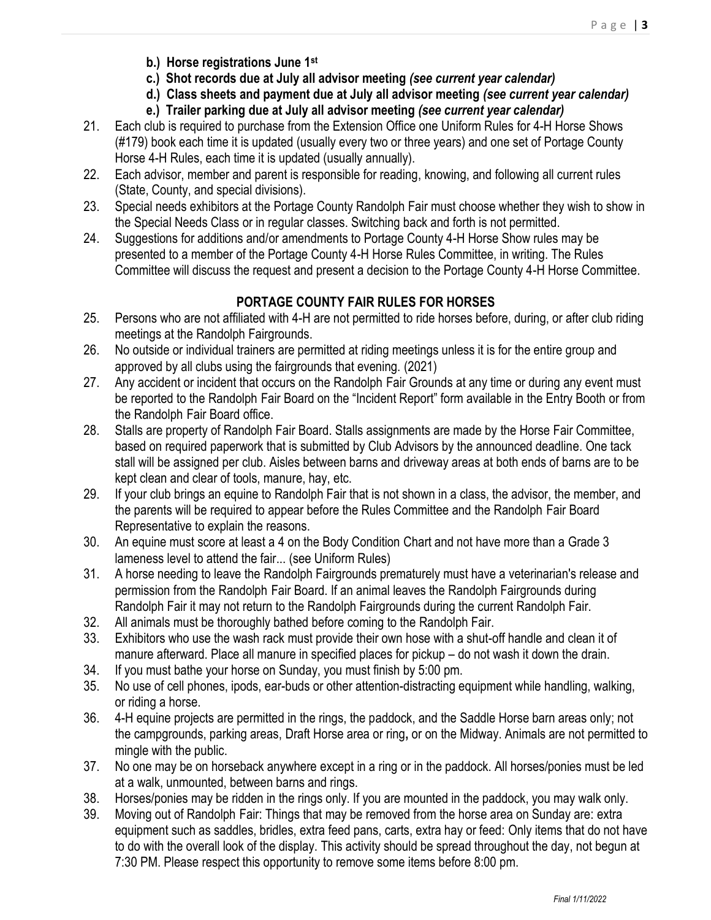- **b.) Horse registrations June 1st**
- **c.) Shot records due at July all advisor meeting** *(see current year calendar)*
- **d.) Class sheets and payment due at July all advisor meeting** *(see current year calendar)*
- **e.) Trailer parking due at July all advisor meeting** *(see current year calendar)*
- 21. Each club is required to purchase from the Extension Office one Uniform Rules for 4-H Horse Shows (#179) book each time it is updated (usually every two or three years) and one set of Portage County Horse 4-H Rules, each time it is updated (usually annually).
- 22. Each advisor, member and parent is responsible for reading, knowing, and following all current rules (State, County, and special divisions).
- 23. Special needs exhibitors at the Portage County Randolph Fair must choose whether they wish to show in the Special Needs Class or in regular classes. Switching back and forth is not permitted.
- 24. Suggestions for additions and/or amendments to Portage County 4-H Horse Show rules may be presented to a member of the Portage County 4-H Horse Rules Committee, in writing. The Rules Committee will discuss the request and present a decision to the Portage County 4-H Horse Committee.

# **PORTAGE COUNTY FAIR RULES FOR HORSES**

- 25. Persons who are not affiliated with 4-H are not permitted to ride horses before, during, or after club riding meetings at the Randolph Fairgrounds.
- 26. No outside or individual trainers are permitted at riding meetings unless it is for the entire group and approved by all clubs using the fairgrounds that evening. (2021)
- 27. Any accident or incident that occurs on the Randolph Fair Grounds at any time or during any event must be reported to the Randolph Fair Board on the "Incident Report" form available in the Entry Booth or from the Randolph Fair Board office.
- 28. Stalls are property of Randolph Fair Board. Stalls assignments are made by the Horse Fair Committee, based on required paperwork that is submitted by Club Advisors by the announced deadline. One tack stall will be assigned per club. Aisles between barns and driveway areas at both ends of barns are to be kept clean and clear of tools, manure, hay, etc.
- 29. If your club brings an equine to Randolph Fair that is not shown in a class, the advisor, the member, and the parents will be required to appear before the Rules Committee and the Randolph Fair Board Representative to explain the reasons.
- 30. An equine must score at least a 4 on the Body Condition Chart and not have more than a Grade 3 lameness level to attend the fair... (see Uniform Rules)
- 31. A horse needing to leave the Randolph Fairgrounds prematurely must have a veterinarian's release and permission from the Randolph Fair Board. If an animal leaves the Randolph Fairgrounds during Randolph Fair it may not return to the Randolph Fairgrounds during the current Randolph Fair.
- 32. All animals must be thoroughly bathed before coming to the Randolph Fair.
- 33. Exhibitors who use the wash rack must provide their own hose with a shut-off handle and clean it of manure afterward. Place all manure in specified places for pickup – do not wash it down the drain.
- 34. If you must bathe your horse on Sunday, you must finish by 5:00 pm.
- 35. No use of cell phones, ipods, ear-buds or other attention-distracting equipment while handling, walking, or riding a horse.
- 36. 4-H equine projects are permitted in the rings, the paddock, and the Saddle Horse barn areas only; not the campgrounds, parking areas, Draft Horse area or ring**,** or on the Midway. Animals are not permitted to mingle with the public.
- 37. No one may be on horseback anywhere except in a ring or in the paddock. All horses/ponies must be led at a walk, unmounted, between barns and rings.
- 38. Horses/ponies may be ridden in the rings only. If you are mounted in the paddock, you may walk only.
- 39. Moving out of Randolph Fair: Things that may be removed from the horse area on Sunday are: extra equipment such as saddles, bridles, extra feed pans, carts, extra hay or feed: Only items that do not have to do with the overall look of the display. This activity should be spread throughout the day, not begun at 7:30 PM. Please respect this opportunity to remove some items before 8:00 pm.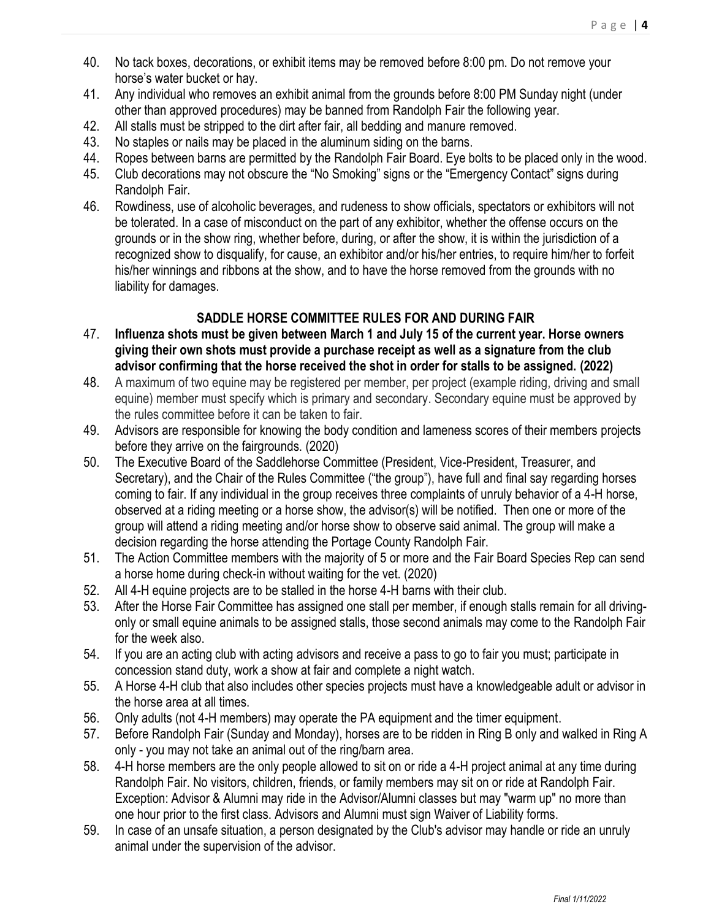- 40. No tack boxes, decorations, or exhibit items may be removed before 8:00 pm. Do not remove your horse's water bucket or hay.
- 41. Any individual who removes an exhibit animal from the grounds before 8:00 PM Sunday night (under other than approved procedures) may be banned from Randolph Fair the following year.
- 42. All stalls must be stripped to the dirt after fair, all bedding and manure removed.
- 43. No staples or nails may be placed in the aluminum siding on the barns.
- 44. Ropes between barns are permitted by the Randolph Fair Board. Eye bolts to be placed only in the wood.
- 45. Club decorations may not obscure the "No Smoking" signs or the "Emergency Contact" signs during Randolph Fair.
- 46. Rowdiness, use of alcoholic beverages, and rudeness to show officials, spectators or exhibitors will not be tolerated. In a case of misconduct on the part of any exhibitor, whether the offense occurs on the grounds or in the show ring, whether before, during, or after the show, it is within the jurisdiction of a recognized show to disqualify, for cause, an exhibitor and/or his/her entries, to require him/her to forfeit his/her winnings and ribbons at the show, and to have the horse removed from the grounds with no liability for damages.

# **SADDLE HORSE COMMITTEE RULES FOR AND DURING FAIR**

- 47. **Influenza shots must be given between March 1 and July 15 of the current year. Horse owners giving their own shots must provide a purchase receipt as well as a signature from the club advisor confirming that the horse received the shot in order for stalls to be assigned. (2022)**
- 48. A maximum of two equine may be registered per member, per project (example riding, driving and small equine) member must specify which is primary and secondary. Secondary equine must be approved by the rules committee before it can be taken to fair.
- 49. Advisors are responsible for knowing the body condition and lameness scores of their members projects before they arrive on the fairgrounds. (2020)
- 50. The Executive Board of the Saddlehorse Committee (President, Vice-President, Treasurer, and Secretary), and the Chair of the Rules Committee ("the group"), have full and final say regarding horses coming to fair. If any individual in the group receives three complaints of unruly behavior of a 4-H horse, observed at a riding meeting or a horse show, the advisor(s) will be notified. Then one or more of the group will attend a riding meeting and/or horse show to observe said animal. The group will make a decision regarding the horse attending the Portage County Randolph Fair.
- 51. The Action Committee members with the majority of 5 or more and the Fair Board Species Rep can send a horse home during check-in without waiting for the vet. (2020)
- 52. All 4-H equine projects are to be stalled in the horse 4-H barns with their club.
- 53. After the Horse Fair Committee has assigned one stall per member, if enough stalls remain for all drivingonly or small equine animals to be assigned stalls, those second animals may come to the Randolph Fair for the week also.
- 54. If you are an acting club with acting advisors and receive a pass to go to fair you must; participate in concession stand duty, work a show at fair and complete a night watch.
- 55. A Horse 4-H club that also includes other species projects must have a knowledgeable adult or advisor in the horse area at all times.
- 56. Only adults (not 4-H members) may operate the PA equipment and the timer equipment.
- 57. Before Randolph Fair (Sunday and Monday), horses are to be ridden in Ring B only and walked in Ring A only - you may not take an animal out of the ring/barn area.
- 58. 4-H horse members are the only people allowed to sit on or ride a 4-H project animal at any time during Randolph Fair. No visitors, children, friends, or family members may sit on or ride at Randolph Fair. Exception: Advisor & Alumni may ride in the Advisor/Alumni classes but may "warm up" no more than one hour prior to the first class. Advisors and Alumni must sign Waiver of Liability forms.
- 59. In case of an unsafe situation, a person designated by the Club's advisor may handle or ride an unruly animal under the supervision of the advisor.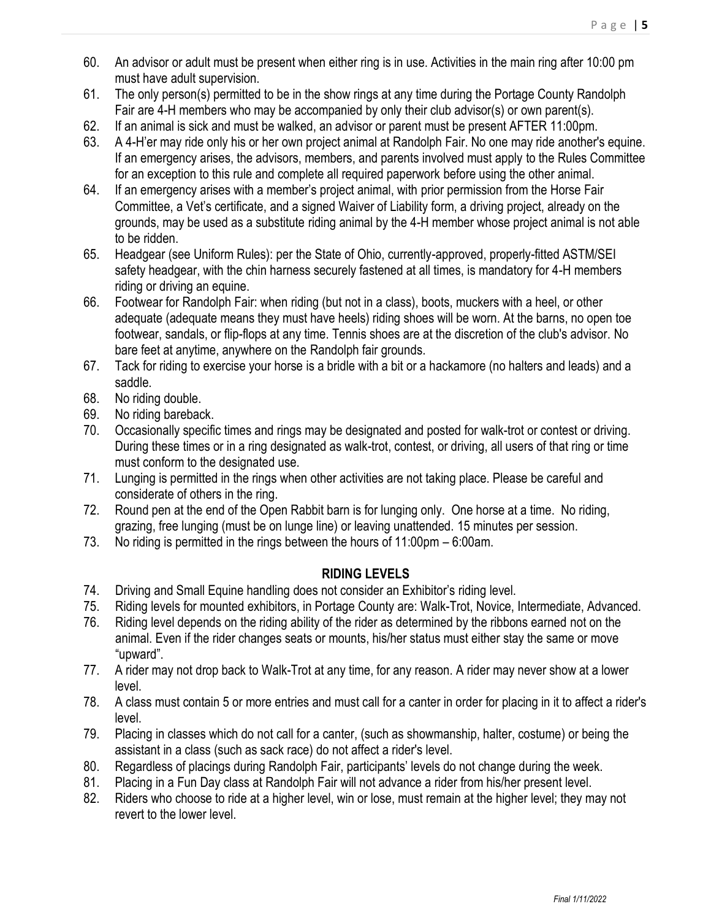- 60. An advisor or adult must be present when either ring is in use. Activities in the main ring after 10:00 pm must have adult supervision.
- 61. The only person(s) permitted to be in the show rings at any time during the Portage County Randolph Fair are 4-H members who may be accompanied by only their club advisor(s) or own parent(s).
- 62. If an animal is sick and must be walked, an advisor or parent must be present AFTER 11:00pm.
- 63. A 4-H'er may ride only his or her own project animal at Randolph Fair. No one may ride another's equine. If an emergency arises, the advisors, members, and parents involved must apply to the Rules Committee for an exception to this rule and complete all required paperwork before using the other animal.
- 64. If an emergency arises with a member's project animal, with prior permission from the Horse Fair Committee, a Vet's certificate, and a signed Waiver of Liability form, a driving project, already on the grounds, may be used as a substitute riding animal by the 4-H member whose project animal is not able to be ridden.
- 65. Headgear (see Uniform Rules): per the State of Ohio, currently-approved, properly-fitted ASTM/SEI safety headgear, with the chin harness securely fastened at all times, is mandatory for 4-H members riding or driving an equine.
- 66. Footwear for Randolph Fair: when riding (but not in a class), boots, muckers with a heel, or other adequate (adequate means they must have heels) riding shoes will be worn. At the barns, no open toe footwear, sandals, or flip-flops at any time. Tennis shoes are at the discretion of the club's advisor. No bare feet at anytime, anywhere on the Randolph fair grounds.
- 67. Tack for riding to exercise your horse is a bridle with a bit or a hackamore (no halters and leads) and a saddle.
- 68. No riding double.
- 69. No riding bareback.
- 70. Occasionally specific times and rings may be designated and posted for walk-trot or contest or driving. During these times or in a ring designated as walk-trot, contest, or driving, all users of that ring or time must conform to the designated use.
- 71. Lunging is permitted in the rings when other activities are not taking place. Please be careful and considerate of others in the ring.
- 72. Round pen at the end of the Open Rabbit barn is for lunging only. One horse at a time. No riding, grazing, free lunging (must be on lunge line) or leaving unattended. 15 minutes per session.
- 73. No riding is permitted in the rings between the hours of 11:00pm 6:00am.

### **RIDING LEVELS**

- 74. Driving and Small Equine handling does not consider an Exhibitor's riding level.
- 75. Riding levels for mounted exhibitors, in Portage County are: Walk-Trot, Novice, Intermediate, Advanced.
- 76. Riding level depends on the riding ability of the rider as determined by the ribbons earned not on the animal. Even if the rider changes seats or mounts, his/her status must either stay the same or move "upward".
- 77. A rider may not drop back to Walk-Trot at any time, for any reason. A rider may never show at a lower level.
- 78. A class must contain 5 or more entries and must call for a canter in order for placing in it to affect a rider's level.
- 79. Placing in classes which do not call for a canter, (such as showmanship, halter, costume) or being the assistant in a class (such as sack race) do not affect a rider's level.
- 80. Regardless of placings during Randolph Fair, participants' levels do not change during the week.
- 81. Placing in a Fun Day class at Randolph Fair will not advance a rider from his/her present level.
- 82. Riders who choose to ride at a higher level, win or lose, must remain at the higher level; they may not revert to the lower level.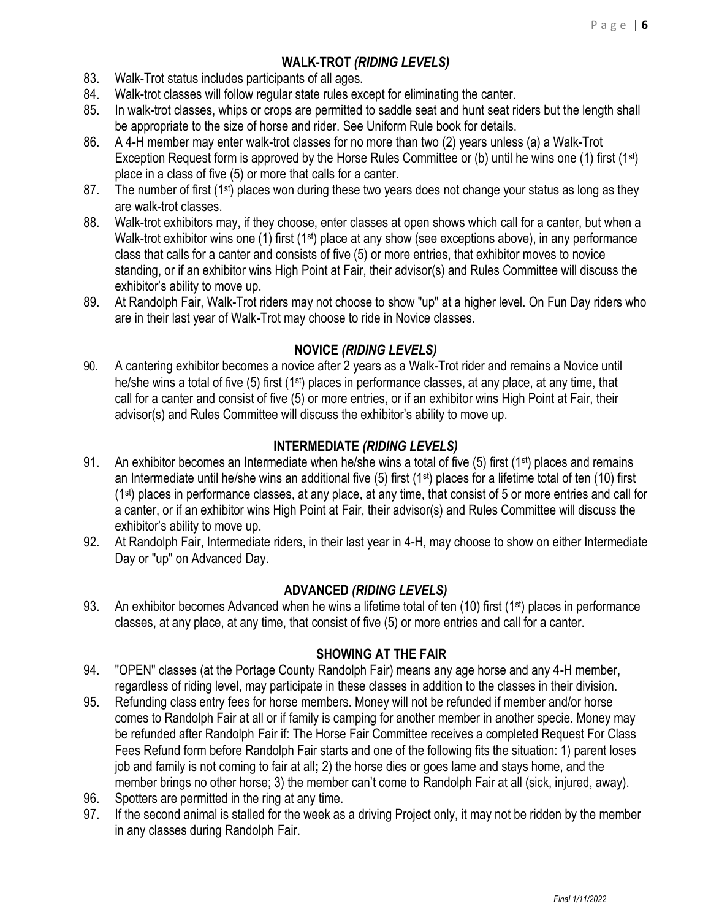# **WALK-TROT** *(RIDING LEVELS)*

- 83. Walk-Trot status includes participants of all ages.
- 84. Walk-trot classes will follow regular state rules except for eliminating the canter.
- 85. In walk-trot classes, whips or crops are permitted to saddle seat and hunt seat riders but the length shall be appropriate to the size of horse and rider. See Uniform Rule book for details.
- 86. A 4-H member may enter walk-trot classes for no more than two (2) years unless (a) a Walk-Trot Exception Request form is approved by the Horse Rules Committee or (b) until he wins one (1) first (1st) place in a class of five (5) or more that calls for a canter.
- 87. The number of first  $(1^{st})$  places won during these two years does not change your status as long as they are walk-trot classes.
- 88. Walk-trot exhibitors may, if they choose, enter classes at open shows which call for a canter, but when a Walk-trot exhibitor wins one (1) first (1<sup>st</sup>) place at any show (see exceptions above), in any performance class that calls for a canter and consists of five (5) or more entries, that exhibitor moves to novice standing, or if an exhibitor wins High Point at Fair, their advisor(s) and Rules Committee will discuss the exhibitor's ability to move up.
- 89. At Randolph Fair, Walk-Trot riders may not choose to show "up" at a higher level. On Fun Day riders who are in their last year of Walk-Trot may choose to ride in Novice classes.

# **NOVICE** *(RIDING LEVELS)*

90. A cantering exhibitor becomes a novice after 2 years as a Walk-Trot rider and remains a Novice until he/she wins a total of five (5) first (1<sup>st</sup>) places in performance classes, at any place, at any time, that call for a canter and consist of five (5) or more entries, or if an exhibitor wins High Point at Fair, their advisor(s) and Rules Committee will discuss the exhibitor's ability to move up.

# **INTERMEDIATE** *(RIDING LEVELS)*

- 91. An exhibitor becomes an Intermediate when he/she wins a total of five (5) first (1<sup>st</sup>) places and remains an Intermediate until he/she wins an additional five (5) first (1st) places for a lifetime total of ten (10) first (1st) places in performance classes, at any place, at any time, that consist of 5 or more entries and call for a canter, or if an exhibitor wins High Point at Fair, their advisor(s) and Rules Committee will discuss the exhibitor's ability to move up.
- 92. At Randolph Fair, Intermediate riders, in their last year in 4-H, may choose to show on either Intermediate Day or "up" on Advanced Day.

# **ADVANCED** *(RIDING LEVELS)*

93. An exhibitor becomes Advanced when he wins a lifetime total of ten  $(10)$  first  $(1^{st})$  places in performance classes, at any place, at any time, that consist of five (5) or more entries and call for a canter.

# **SHOWING AT THE FAIR**

- 94. "OPEN" classes (at the Portage County Randolph Fair) means any age horse and any 4-H member, regardless of riding level, may participate in these classes in addition to the classes in their division.
- 95. Refunding class entry fees for horse members. Money will not be refunded if member and/or horse comes to Randolph Fair at all or if family is camping for another member in another specie. Money may be refunded after Randolph Fair if: The Horse Fair Committee receives a completed Request For Class Fees Refund form before Randolph Fair starts and one of the following fits the situation: 1) parent loses job and family is not coming to fair at all**;** 2) the horse dies or goes lame and stays home, and the member brings no other horse; 3) the member can't come to Randolph Fair at all (sick, injured, away).
- 96. Spotters are permitted in the ring at any time.
- 97. If the second animal is stalled for the week as a driving Project only, it may not be ridden by the member in any classes during Randolph Fair.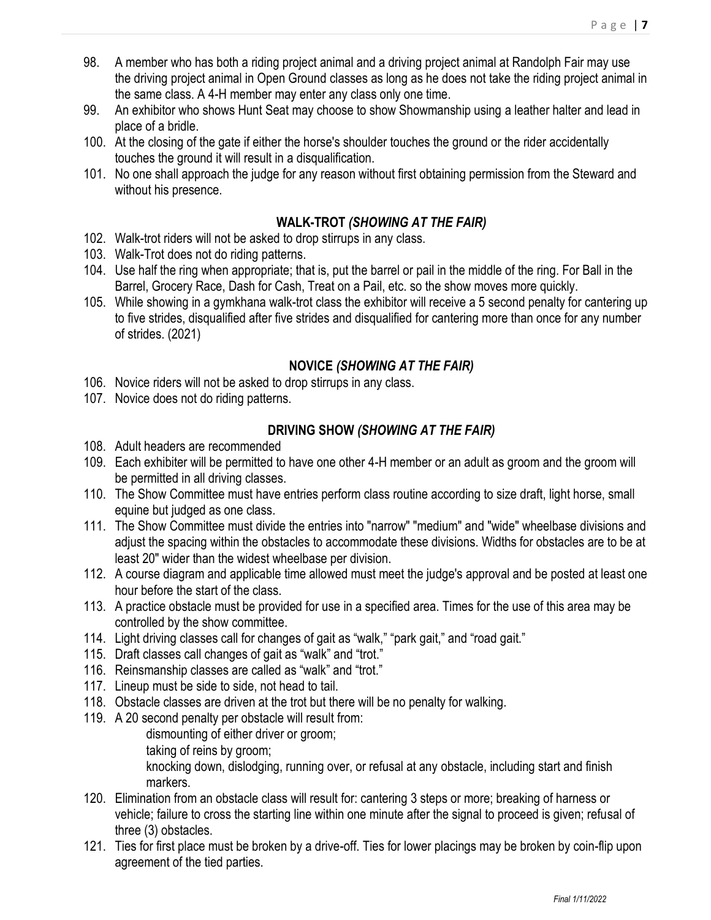- 98. A member who has both a riding project animal and a driving project animal at Randolph Fair may use the driving project animal in Open Ground classes as long as he does not take the riding project animal in the same class. A 4-H member may enter any class only one time.
- 99. An exhibitor who shows Hunt Seat may choose to show Showmanship using a leather halter and lead in place of a bridle.
- 100. At the closing of the gate if either the horse's shoulder touches the ground or the rider accidentally touches the ground it will result in a disqualification.
- 101. No one shall approach the judge for any reason without first obtaining permission from the Steward and without his presence.

# **WALK-TROT** *(SHOWING AT THE FAIR)*

- 102. Walk-trot riders will not be asked to drop stirrups in any class.
- 103. Walk-Trot does not do riding patterns.
- 104. Use half the ring when appropriate; that is, put the barrel or pail in the middle of the ring. For Ball in the Barrel, Grocery Race, Dash for Cash, Treat on a Pail, etc. so the show moves more quickly.
- 105. While showing in a gymkhana walk-trot class the exhibitor will receive a 5 second penalty for cantering up to five strides, disqualified after five strides and disqualified for cantering more than once for any number of strides. (2021)

# **NOVICE** *(SHOWING AT THE FAIR)*

- 106. Novice riders will not be asked to drop stirrups in any class.
- 107. Novice does not do riding patterns.

# **DRIVING SHOW** *(SHOWING AT THE FAIR)*

- 108. Adult headers are recommended
- 109. Each exhibiter will be permitted to have one other 4-H member or an adult as groom and the groom will be permitted in all driving classes.
- 110. The Show Committee must have entries perform class routine according to size draft, light horse, small equine but judged as one class.
- 111. The Show Committee must divide the entries into "narrow" "medium" and "wide" wheelbase divisions and adjust the spacing within the obstacles to accommodate these divisions. Widths for obstacles are to be at least 20" wider than the widest wheelbase per division.
- 112. A course diagram and applicable time allowed must meet the judge's approval and be posted at least one hour before the start of the class.
- 113. A practice obstacle must be provided for use in a specified area. Times for the use of this area may be controlled by the show committee.
- 114. Light driving classes call for changes of gait as "walk," "park gait," and "road gait."
- 115. Draft classes call changes of gait as "walk" and "trot."
- 116. Reinsmanship classes are called as "walk" and "trot."
- 117. Lineup must be side to side, not head to tail.
- 118. Obstacle classes are driven at the trot but there will be no penalty for walking.
- 119. A 20 second penalty per obstacle will result from:

dismounting of either driver or groom;

taking of reins by groom;

knocking down, dislodging, running over, or refusal at any obstacle, including start and finish markers.

- 120. Elimination from an obstacle class will result for: cantering 3 steps or more; breaking of harness or vehicle; failure to cross the starting line within one minute after the signal to proceed is given; refusal of three (3) obstacles.
- 121. Ties for first place must be broken by a drive-off. Ties for lower placings may be broken by coin-flip upon agreement of the tied parties.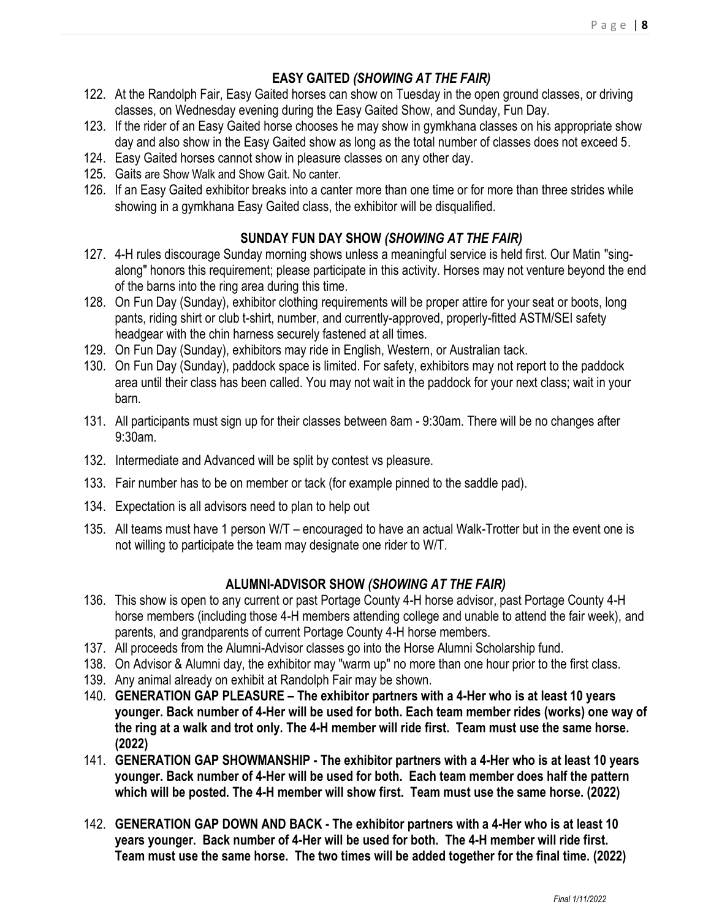# **EASY GAITED** *(SHOWING AT THE FAIR)*

- 122. At the Randolph Fair, Easy Gaited horses can show on Tuesday in the open ground classes, or driving classes, on Wednesday evening during the Easy Gaited Show, and Sunday, Fun Day.
- 123. If the rider of an Easy Gaited horse chooses he may show in gymkhana classes on his appropriate show day and also show in the Easy Gaited show as long as the total number of classes does not exceed 5.
- 124. Easy Gaited horses cannot show in pleasure classes on any other day.
- 125. Gaits are Show Walk and Show Gait. No canter.
- 126. If an Easy Gaited exhibitor breaks into a canter more than one time or for more than three strides while showing in a gymkhana Easy Gaited class, the exhibitor will be disqualified.

# **SUNDAY FUN DAY SHOW** *(SHOWING AT THE FAIR)*

- 127. 4-H rules discourage Sunday morning shows unless a meaningful service is held first. Our Matin "singalong" honors this requirement; please participate in this activity. Horses may not venture beyond the end of the barns into the ring area during this time.
- 128. On Fun Day (Sunday), exhibitor clothing requirements will be proper attire for your seat or boots, long pants, riding shirt or club t-shirt, number, and currently-approved, properly-fitted ASTM/SEI safety headgear with the chin harness securely fastened at all times.
- 129. On Fun Day (Sunday), exhibitors may ride in English, Western, or Australian tack.
- 130. On Fun Day (Sunday), paddock space is limited. For safety, exhibitors may not report to the paddock area until their class has been called. You may not wait in the paddock for your next class; wait in your barn.
- 131. All participants must sign up for their classes between 8am 9:30am. There will be no changes after 9:30am.
- 132. Intermediate and Advanced will be split by contest vs pleasure.
- 133. Fair number has to be on member or tack (for example pinned to the saddle pad).
- 134. Expectation is all advisors need to plan to help out
- 135. All teams must have 1 person W/T encouraged to have an actual Walk-Trotter but in the event one is not willing to participate the team may designate one rider to W/T.

# **ALUMNI-ADVISOR SHOW** *(SHOWING AT THE FAIR)*

- 136. This show is open to any current or past Portage County 4-H horse advisor, past Portage County 4-H horse members (including those 4-H members attending college and unable to attend the fair week), and parents, and grandparents of current Portage County 4-H horse members.
- 137. All proceeds from the Alumni-Advisor classes go into the Horse Alumni Scholarship fund.
- 138. On Advisor & Alumni day, the exhibitor may "warm up" no more than one hour prior to the first class.
- 139. Any animal already on exhibit at Randolph Fair may be shown.
- 140. **GENERATION GAP PLEASURE – The exhibitor partners with a 4-Her who is at least 10 years younger. Back number of 4-Her will be used for both. Each team member rides (works) one way of the ring at a walk and trot only. The 4-H member will ride first. Team must use the same horse. (2022)**
- 141. **GENERATION GAP SHOWMANSHIP - The exhibitor partners with a 4-Her who is at least 10 years younger. Back number of 4-Her will be used for both. Each team member does half the pattern which will be posted. The 4-H member will show first. Team must use the same horse. (2022)**
- 142. **GENERATION GAP DOWN AND BACK - The exhibitor partners with a 4-Her who is at least 10 years younger. Back number of 4-Her will be used for both. The 4-H member will ride first. Team must use the same horse. The two times will be added together for the final time. (2022)**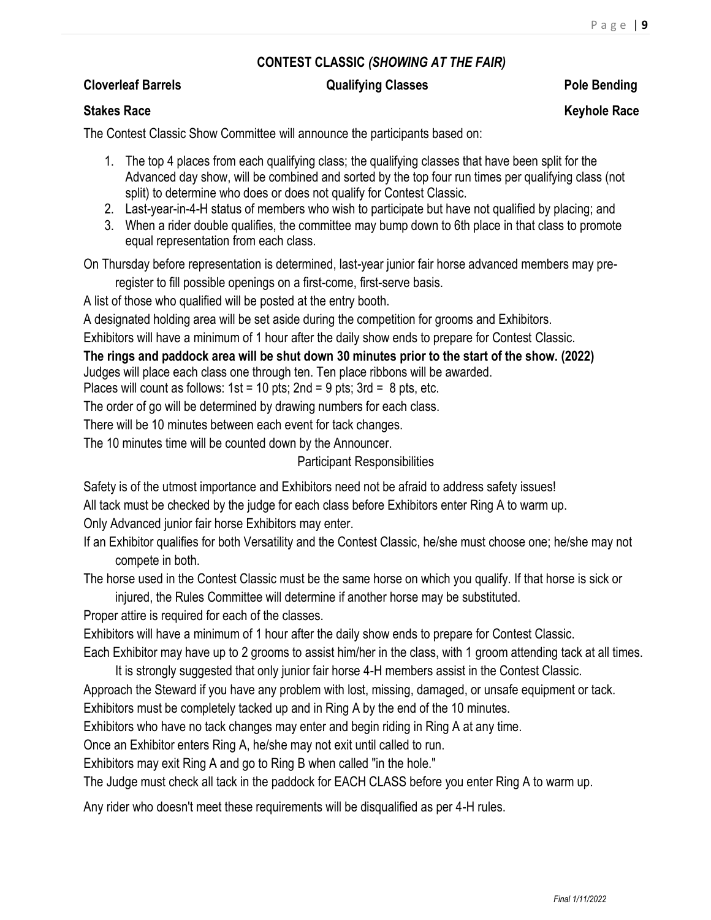## **CONTEST CLASSIC** *(SHOWING AT THE FAIR)*

### **Cloverleaf Barrels Cloverleaf Barrels Pole Bending Qualifying Classes Pole Bending**

### **Stakes Race Keyhole Race Race Research According to the Control of the Control of the Control of the Control of the Control of the Control of the Control of the Control of the Control of the Control of the Control of the**

The Contest Classic Show Committee will announce the participants based on:

- 1. The top 4 places from each qualifying class; the qualifying classes that have been split for the Advanced day show, will be combined and sorted by the top four run times per qualifying class (not split) to determine who does or does not qualify for Contest Classic.
- 2. Last-year-in-4-H status of members who wish to participate but have not qualified by placing; and
- 3. When a rider double qualifies, the committee may bump down to 6th place in that class to promote equal representation from each class.

On Thursday before representation is determined, last-year junior fair horse advanced members may preregister to fill possible openings on a first-come, first-serve basis.

A list of those who qualified will be posted at the entry booth.

A designated holding area will be set aside during the competition for grooms and Exhibitors.

Exhibitors will have a minimum of 1 hour after the daily show ends to prepare for Contest Classic.

**The rings and paddock area will be shut down 30 minutes prior to the start of the show. (2022)** Judges will place each class one through ten. Ten place ribbons will be awarded.

Places will count as follows:  $1st = 10$  pts;  $2nd = 9$  pts;  $3rd = 8$  pts, etc.

The order of go will be determined by drawing numbers for each class.

There will be 10 minutes between each event for tack changes.

The 10 minutes time will be counted down by the Announcer.

### Participant Responsibilities

Safety is of the utmost importance and Exhibitors need not be afraid to address safety issues!

All tack must be checked by the judge for each class before Exhibitors enter Ring A to warm up.

Only Advanced junior fair horse Exhibitors may enter.

If an Exhibitor qualifies for both Versatility and the Contest Classic, he/she must choose one; he/she may not compete in both.

The horse used in the Contest Classic must be the same horse on which you qualify. If that horse is sick or injured, the Rules Committee will determine if another horse may be substituted.

Proper attire is required for each of the classes.

Exhibitors will have a minimum of 1 hour after the daily show ends to prepare for Contest Classic.

Each Exhibitor may have up to 2 grooms to assist him/her in the class, with 1 groom attending tack at all times. It is strongly suggested that only junior fair horse 4-H members assist in the Contest Classic.

Approach the Steward if you have any problem with lost, missing, damaged, or unsafe equipment or tack.

Exhibitors must be completely tacked up and in Ring A by the end of the 10 minutes.

Exhibitors who have no tack changes may enter and begin riding in Ring A at any time.

Once an Exhibitor enters Ring A, he/she may not exit until called to run.

Exhibitors may exit Ring A and go to Ring B when called "in the hole."

The Judge must check all tack in the paddock for EACH CLASS before you enter Ring A to warm up.

Any rider who doesn't meet these requirements will be disqualified as per 4-H rules.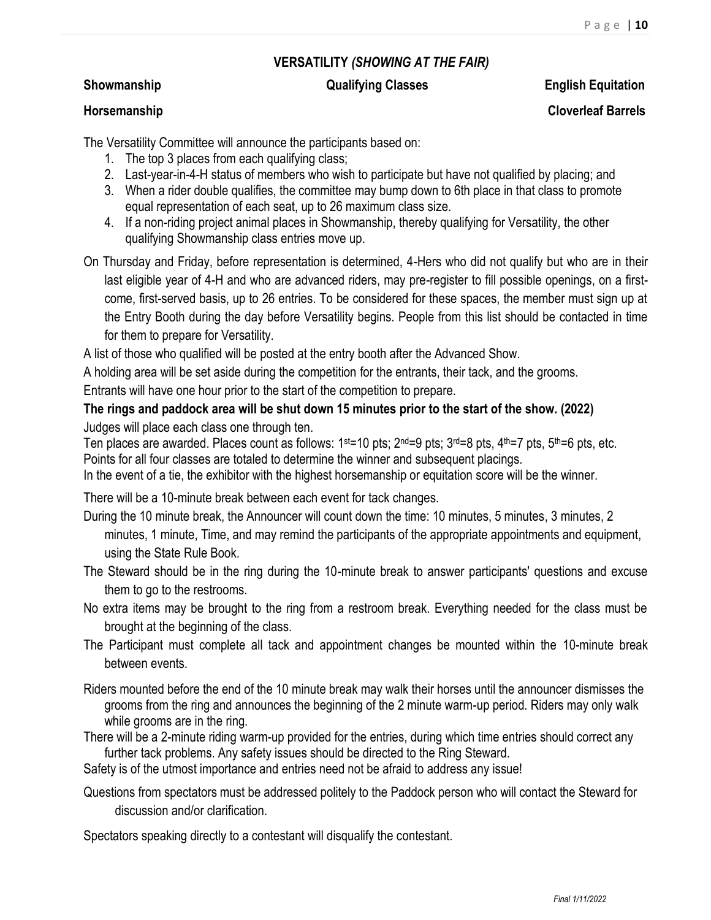### **VERSATILITY** *(SHOWING AT THE FAIR)*

# **Showmanship Qualifying Classes English Equitation**

## **Horsemanship Cloverleaf Barrels**

The Versatility Committee will announce the participants based on:

- 1. The top 3 places from each qualifying class;
- 2. Last-year-in-4-H status of members who wish to participate but have not qualified by placing; and
- 3. When a rider double qualifies, the committee may bump down to 6th place in that class to promote equal representation of each seat, up to 26 maximum class size.
- 4. If a non-riding project animal places in Showmanship, thereby qualifying for Versatility, the other qualifying Showmanship class entries move up.
- On Thursday and Friday, before representation is determined, 4-Hers who did not qualify but who are in their last eligible year of 4-H and who are advanced riders, may pre-register to fill possible openings, on a firstcome, first-served basis, up to 26 entries. To be considered for these spaces, the member must sign up at the Entry Booth during the day before Versatility begins. People from this list should be contacted in time for them to prepare for Versatility.

A list of those who qualified will be posted at the entry booth after the Advanced Show.

A holding area will be set aside during the competition for the entrants, their tack, and the grooms.

Entrants will have one hour prior to the start of the competition to prepare.

**The rings and paddock area will be shut down 15 minutes prior to the start of the show. (2022)** Judges will place each class one through ten.

Ten places are awarded. Places count as follows: 1st=10 pts; 2<sup>nd</sup>=9 pts; 3<sup>rd</sup>=8 pts, 4<sup>th</sup>=7 pts, 5<sup>th</sup>=6 pts, etc. Points for all four classes are totaled to determine the winner and subsequent placings.

In the event of a tie, the exhibitor with the highest horsemanship or equitation score will be the winner.

There will be a 10-minute break between each event for tack changes.

- During the 10 minute break, the Announcer will count down the time: 10 minutes, 5 minutes, 3 minutes, 2 minutes, 1 minute, Time, and may remind the participants of the appropriate appointments and equipment, using the State Rule Book.
- The Steward should be in the ring during the 10-minute break to answer participants' questions and excuse them to go to the restrooms.
- No extra items may be brought to the ring from a restroom break. Everything needed for the class must be brought at the beginning of the class.
- The Participant must complete all tack and appointment changes be mounted within the 10-minute break between events.
- Riders mounted before the end of the 10 minute break may walk their horses until the announcer dismisses the grooms from the ring and announces the beginning of the 2 minute warm-up period. Riders may only walk while grooms are in the ring.
- There will be a 2-minute riding warm-up provided for the entries, during which time entries should correct any further tack problems. Any safety issues should be directed to the Ring Steward.

Safety is of the utmost importance and entries need not be afraid to address any issue!

Questions from spectators must be addressed politely to the Paddock person who will contact the Steward for discussion and/or clarification.

Spectators speaking directly to a contestant will disqualify the contestant.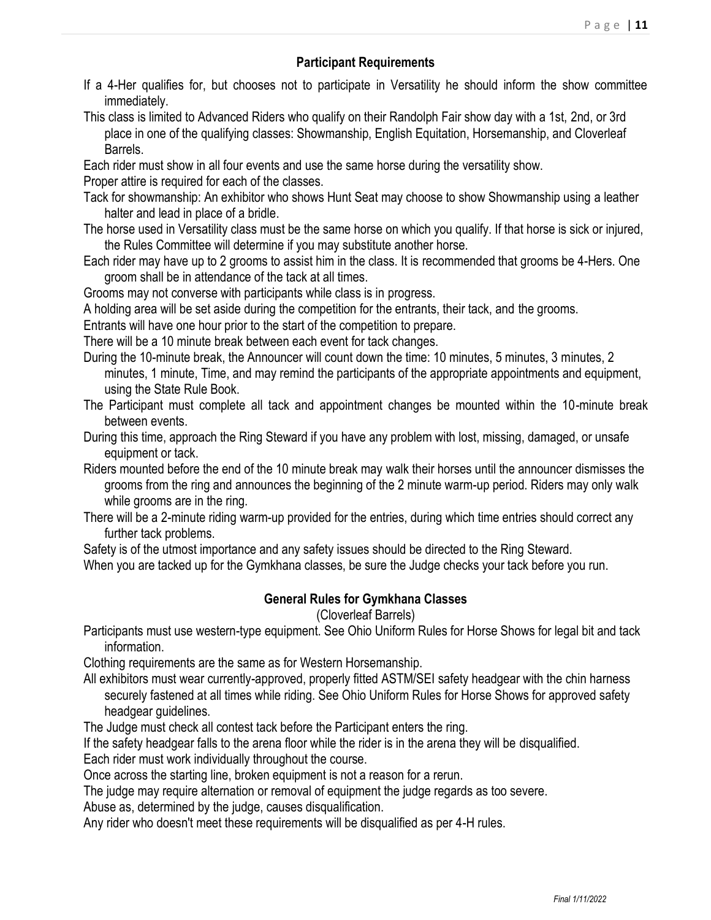### **Participant Requirements**

- If a 4-Her qualifies for, but chooses not to participate in Versatility he should inform the show committee immediately.
- This class is limited to Advanced Riders who qualify on their Randolph Fair show day with a 1st, 2nd, or 3rd place in one of the qualifying classes: Showmanship, English Equitation, Horsemanship, and Cloverleaf Barrels.
- Each rider must show in all four events and use the same horse during the versatility show.
- Proper attire is required for each of the classes.
- Tack for showmanship: An exhibitor who shows Hunt Seat may choose to show Showmanship using a leather halter and lead in place of a bridle.
- The horse used in Versatility class must be the same horse on which you qualify. If that horse is sick or injured, the Rules Committee will determine if you may substitute another horse.
- Each rider may have up to 2 grooms to assist him in the class. It is recommended that grooms be 4-Hers. One groom shall be in attendance of the tack at all times.
- Grooms may not converse with participants while class is in progress.
- A holding area will be set aside during the competition for the entrants, their tack, and the grooms.
- Entrants will have one hour prior to the start of the competition to prepare.
- There will be a 10 minute break between each event for tack changes.
- During the 10-minute break, the Announcer will count down the time: 10 minutes, 5 minutes, 3 minutes, 2 minutes, 1 minute, Time, and may remind the participants of the appropriate appointments and equipment, using the State Rule Book.
- The Participant must complete all tack and appointment changes be mounted within the 10-minute break between events.
- During this time, approach the Ring Steward if you have any problem with lost, missing, damaged, or unsafe equipment or tack.
- Riders mounted before the end of the 10 minute break may walk their horses until the announcer dismisses the grooms from the ring and announces the beginning of the 2 minute warm-up period. Riders may only walk while grooms are in the ring.
- There will be a 2-minute riding warm-up provided for the entries, during which time entries should correct any further tack problems.
- Safety is of the utmost importance and any safety issues should be directed to the Ring Steward.
- When you are tacked up for the Gymkhana classes, be sure the Judge checks your tack before you run.

### **General Rules for Gymkhana Classes**

### (Cloverleaf Barrels)

- Participants must use western-type equipment. See Ohio Uniform Rules for Horse Shows for legal bit and tack information.
- Clothing requirements are the same as for Western Horsemanship.
- All exhibitors must wear currently-approved, properly fitted ASTM/SEI safety headgear with the chin harness securely fastened at all times while riding. See Ohio Uniform Rules for Horse Shows for approved safety headgear guidelines.
- The Judge must check all contest tack before the Participant enters the ring.
- If the safety headgear falls to the arena floor while the rider is in the arena they will be disqualified.
- Each rider must work individually throughout the course.
- Once across the starting line, broken equipment is not a reason for a rerun.
- The judge may require alternation or removal of equipment the judge regards as too severe.
- Abuse as, determined by the judge, causes disqualification.
- Any rider who doesn't meet these requirements will be disqualified as per 4-H rules.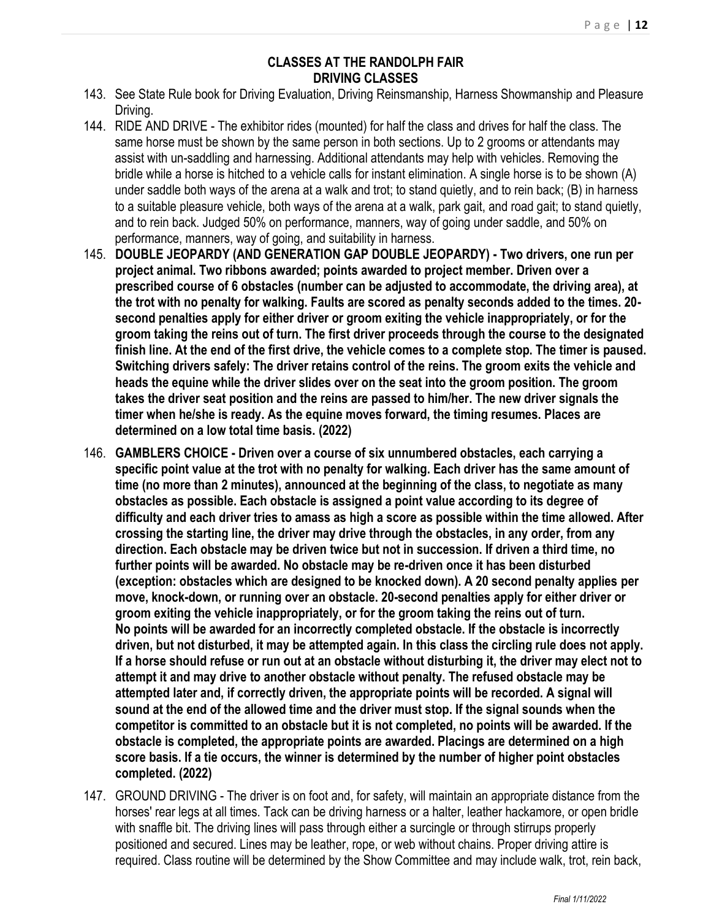### **CLASSES AT THE RANDOLPH FAIR DRIVING CLASSES**

- 143. See State Rule book for Driving Evaluation, Driving Reinsmanship, Harness Showmanship and Pleasure Driving.
- 144. RIDE AND DRIVE The exhibitor rides (mounted) for half the class and drives for half the class. The same horse must be shown by the same person in both sections. Up to 2 grooms or attendants may assist with un-saddling and harnessing. Additional attendants may help with vehicles. Removing the bridle while a horse is hitched to a vehicle calls for instant elimination. A single horse is to be shown (A) under saddle both ways of the arena at a walk and trot; to stand quietly, and to rein back; (B) in harness to a suitable pleasure vehicle, both ways of the arena at a walk, park gait, and road gait; to stand quietly, and to rein back. Judged 50% on performance, manners, way of going under saddle, and 50% on performance, manners, way of going, and suitability in harness.
- 145. **DOUBLE JEOPARDY (AND GENERATION GAP DOUBLE JEOPARDY) - Two drivers, one run per project animal. Two ribbons awarded; points awarded to project member. Driven over a prescribed course of 6 obstacles (number can be adjusted to accommodate, the driving area), at the trot with no penalty for walking. Faults are scored as penalty seconds added to the times. 20 second penalties apply for either driver or groom exiting the vehicle inappropriately, or for the groom taking the reins out of turn. The first driver proceeds through the course to the designated finish line. At the end of the first drive, the vehicle comes to a complete stop. The timer is paused. Switching drivers safely: The driver retains control of the reins. The groom exits the vehicle and heads the equine while the driver slides over on the seat into the groom position. The groom takes the driver seat position and the reins are passed to him/her. The new driver signals the timer when he/she is ready. As the equine moves forward, the timing resumes. Places are determined on a low total time basis. (2022)**
- 146. **GAMBLERS CHOICE - Driven over a course of six unnumbered obstacles, each carrying a specific point value at the trot with no penalty for walking. Each driver has the same amount of time (no more than 2 minutes), announced at the beginning of the class, to negotiate as many obstacles as possible. Each obstacle is assigned a point value according to its degree of difficulty and each driver tries to amass as high a score as possible within the time allowed. After crossing the starting line, the driver may drive through the obstacles, in any order, from any direction. Each obstacle may be driven twice but not in succession. If driven a third time, no further points will be awarded. No obstacle may be re-driven once it has been disturbed (exception: obstacles which are designed to be knocked down). A 20 second penalty applies per move, knock-down, or running over an obstacle. 20-second penalties apply for either driver or groom exiting the vehicle inappropriately, or for the groom taking the reins out of turn. No points will be awarded for an incorrectly completed obstacle. If the obstacle is incorrectly driven, but not disturbed, it may be attempted again. In this class the circling rule does not apply. If a horse should refuse or run out at an obstacle without disturbing it, the driver may elect not to attempt it and may drive to another obstacle without penalty. The refused obstacle may be attempted later and, if correctly driven, the appropriate points will be recorded. A signal will sound at the end of the allowed time and the driver must stop. If the signal sounds when the competitor is committed to an obstacle but it is not completed, no points will be awarded. If the obstacle is completed, the appropriate points are awarded. Placings are determined on a high score basis. If a tie occurs, the winner is determined by the number of higher point obstacles completed. (2022)**
- 147. GROUND DRIVING The driver is on foot and, for safety, will maintain an appropriate distance from the horses' rear legs at all times. Tack can be driving harness or a halter, leather hackamore, or open bridle with snaffle bit. The driving lines will pass through either a surcingle or through stirrups properly positioned and secured. Lines may be leather, rope, or web without chains. Proper driving attire is required. Class routine will be determined by the Show Committee and may include walk, trot, rein back,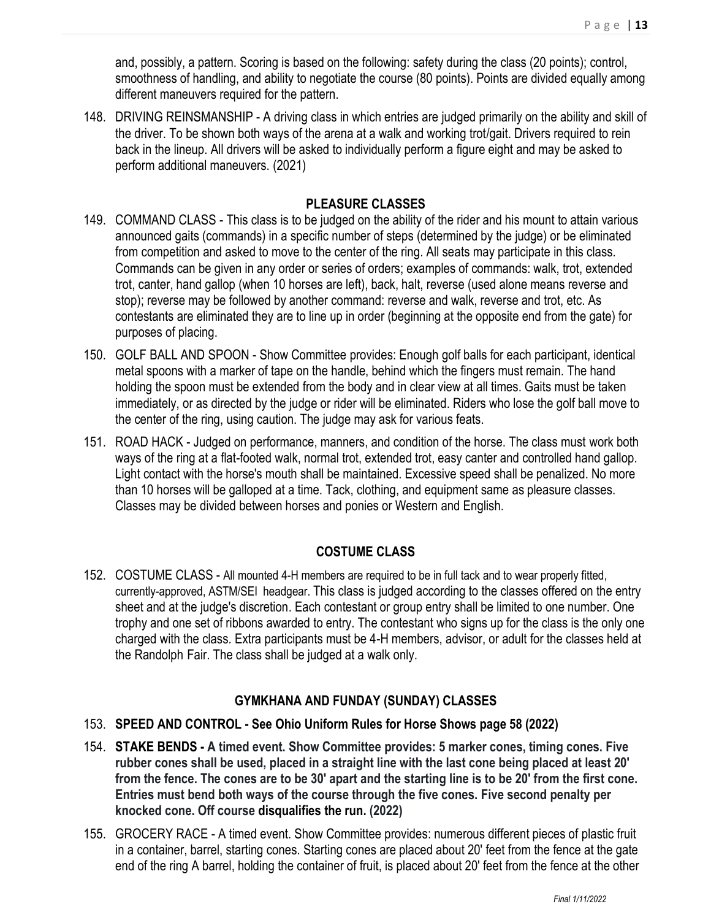and, possibly, a pattern. Scoring is based on the following: safety during the class (20 points); control, smoothness of handling, and ability to negotiate the course (80 points). Points are divided equally among different maneuvers required for the pattern.

148. DRIVING REINSMANSHIP - A driving class in which entries are judged primarily on the ability and skill of the driver. To be shown both ways of the arena at a walk and working trot/gait. Drivers required to rein back in the lineup. All drivers will be asked to individually perform a figure eight and may be asked to perform additional maneuvers. (2021)

### **PLEASURE CLASSES**

- 149. COMMAND CLASS This class is to be judged on the ability of the rider and his mount to attain various announced gaits (commands) in a specific number of steps (determined by the judge) or be eliminated from competition and asked to move to the center of the ring. All seats may participate in this class. Commands can be given in any order or series of orders; examples of commands: walk, trot, extended trot, canter, hand gallop (when 10 horses are left), back, halt, reverse (used alone means reverse and stop); reverse may be followed by another command: reverse and walk, reverse and trot, etc. As contestants are eliminated they are to line up in order (beginning at the opposite end from the gate) for purposes of placing.
- 150. GOLF BALL AND SPOON Show Committee provides: Enough golf balls for each participant, identical metal spoons with a marker of tape on the handle, behind which the fingers must remain. The hand holding the spoon must be extended from the body and in clear view at all times. Gaits must be taken immediately, or as directed by the judge or rider will be eliminated. Riders who lose the golf ball move to the center of the ring, using caution. The judge may ask for various feats.
- 151. ROAD HACK Judged on performance, manners, and condition of the horse. The class must work both ways of the ring at a flat-footed walk, normal trot, extended trot, easy canter and controlled hand gallop. Light contact with the horse's mouth shall be maintained. Excessive speed shall be penalized. No more than 10 horses will be galloped at a time. Tack, clothing, and equipment same as pleasure classes. Classes may be divided between horses and ponies or Western and English.

### **COSTUME CLASS**

152. COSTUME CLASS - All mounted 4-H members are required to be in full tack and to wear properly fitted, currently-approved, ASTM/SEI headgear. This class is judged according to the classes offered on the entry sheet and at the judge's discretion. Each contestant or group entry shall be limited to one number. One trophy and one set of ribbons awarded to entry. The contestant who signs up for the class is the only one charged with the class. Extra participants must be 4-H members, advisor, or adult for the classes held at the Randolph Fair. The class shall be judged at a walk only.

### **GYMKHANA AND FUNDAY (SUNDAY) CLASSES**

- 153. **SPEED AND CONTROL - See Ohio Uniform Rules for Horse Shows page 58 (2022)**
- 154. **STAKE BENDS - A timed event. Show Committee provides: 5 marker cones, timing cones. Five rubber cones shall be used, placed in a straight line with the last cone being placed at least 20' from the fence. The cones are to be 30' apart and the starting line is to be 20' from the first cone. Entries must bend both ways of the course through the five cones. Five second penalty per knocked cone. Off course disqualifies the run. (2022)**
- 155. GROCERY RACE A timed event. Show Committee provides: numerous different pieces of plastic fruit in a container, barrel, starting cones. Starting cones are placed about 20' feet from the fence at the gate end of the ring A barrel, holding the container of fruit, is placed about 20' feet from the fence at the other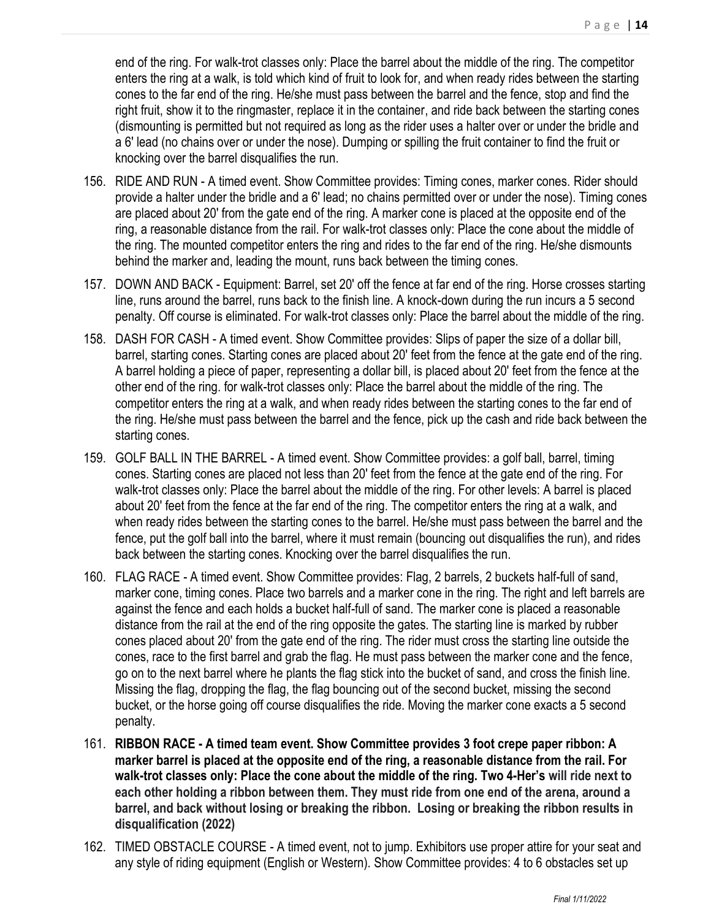end of the ring. For walk-trot classes only: Place the barrel about the middle of the ring. The competitor enters the ring at a walk, is told which kind of fruit to look for, and when ready rides between the starting cones to the far end of the ring. He/she must pass between the barrel and the fence, stop and find the right fruit, show it to the ringmaster, replace it in the container, and ride back between the starting cones (dismounting is permitted but not required as long as the rider uses a halter over or under the bridle and a 6' lead (no chains over or under the nose). Dumping or spilling the fruit container to find the fruit or knocking over the barrel disqualifies the run.

- 156. RIDE AND RUN A timed event. Show Committee provides: Timing cones, marker cones. Rider should provide a halter under the bridle and a 6' lead; no chains permitted over or under the nose). Timing cones are placed about 20' from the gate end of the ring. A marker cone is placed at the opposite end of the ring, a reasonable distance from the rail. For walk-trot classes only: Place the cone about the middle of the ring. The mounted competitor enters the ring and rides to the far end of the ring. He/she dismounts behind the marker and, leading the mount, runs back between the timing cones.
- 157. DOWN AND BACK Equipment: Barrel, set 20' off the fence at far end of the ring. Horse crosses starting line, runs around the barrel, runs back to the finish line. A knock-down during the run incurs a 5 second penalty. Off course is eliminated. For walk-trot classes only: Place the barrel about the middle of the ring.
- 158. DASH FOR CASH A timed event. Show Committee provides: Slips of paper the size of a dollar bill, barrel, starting cones. Starting cones are placed about 20' feet from the fence at the gate end of the ring. A barrel holding a piece of paper, representing a dollar bill, is placed about 20' feet from the fence at the other end of the ring. for walk-trot classes only: Place the barrel about the middle of the ring. The competitor enters the ring at a walk, and when ready rides between the starting cones to the far end of the ring. He/she must pass between the barrel and the fence, pick up the cash and ride back between the starting cones.
- 159. GOLF BALL IN THE BARREL A timed event. Show Committee provides: a golf ball, barrel, timing cones. Starting cones are placed not less than 20' feet from the fence at the gate end of the ring. For walk-trot classes only: Place the barrel about the middle of the ring. For other levels: A barrel is placed about 20' feet from the fence at the far end of the ring. The competitor enters the ring at a walk, and when ready rides between the starting cones to the barrel. He/she must pass between the barrel and the fence, put the golf ball into the barrel, where it must remain (bouncing out disqualifies the run), and rides back between the starting cones. Knocking over the barrel disqualifies the run.
- 160. FLAG RACE A timed event. Show Committee provides: Flag, 2 barrels, 2 buckets half-full of sand, marker cone, timing cones. Place two barrels and a marker cone in the ring. The right and left barrels are against the fence and each holds a bucket half-full of sand. The marker cone is placed a reasonable distance from the rail at the end of the ring opposite the gates. The starting line is marked by rubber cones placed about 20' from the gate end of the ring. The rider must cross the starting line outside the cones, race to the first barrel and grab the flag. He must pass between the marker cone and the fence, go on to the next barrel where he plants the flag stick into the bucket of sand, and cross the finish line. Missing the flag, dropping the flag, the flag bouncing out of the second bucket, missing the second bucket, or the horse going off course disqualifies the ride. Moving the marker cone exacts a 5 second penalty.
- 161. **RIBBON RACE - A timed team event. Show Committee provides 3 foot crepe paper ribbon: A marker barrel is placed at the opposite end of the ring, a reasonable distance from the rail. For walk-trot classes only: Place the cone about the middle of the ring. Two 4-Her's will ride next to each other holding a ribbon between them. They must ride from one end of the arena, around a barrel, and back without losing or breaking the ribbon. Losing or breaking the ribbon results in disqualification (2022)**
- 162. TIMED OBSTACLE COURSE A timed event, not to jump. Exhibitors use proper attire for your seat and any style of riding equipment (English or Western). Show Committee provides: 4 to 6 obstacles set up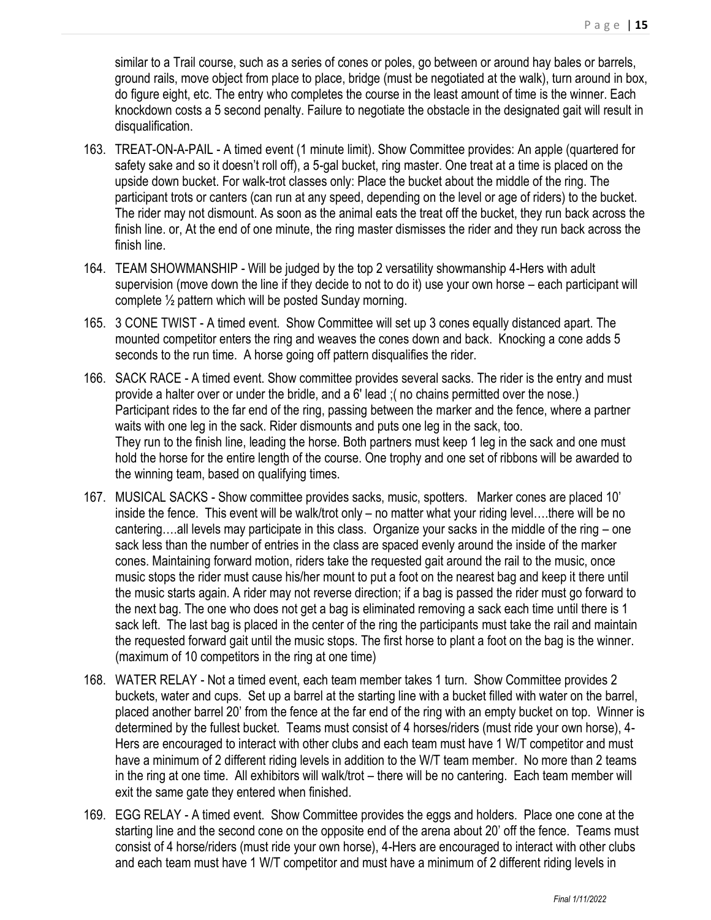similar to a Trail course, such as a series of cones or poles, go between or around hay bales or barrels, ground rails, move object from place to place, bridge (must be negotiated at the walk), turn around in box, do figure eight, etc. The entry who completes the course in the least amount of time is the winner. Each knockdown costs a 5 second penalty. Failure to negotiate the obstacle in the designated gait will result in disqualification.

- 163. TREAT-ON-A-PAIL A timed event (1 minute limit). Show Committee provides: An apple (quartered for safety sake and so it doesn't roll off), a 5-gal bucket, ring master. One treat at a time is placed on the upside down bucket. For walk-trot classes only: Place the bucket about the middle of the ring. The participant trots or canters (can run at any speed, depending on the level or age of riders) to the bucket. The rider may not dismount. As soon as the animal eats the treat off the bucket, they run back across the finish line. or, At the end of one minute, the ring master dismisses the rider and they run back across the finish line.
- 164. TEAM SHOWMANSHIP Will be judged by the top 2 versatility showmanship 4-Hers with adult supervision (move down the line if they decide to not to do it) use your own horse – each participant will complete ½ pattern which will be posted Sunday morning.
- 165. 3 CONE TWIST A timed event. Show Committee will set up 3 cones equally distanced apart. The mounted competitor enters the ring and weaves the cones down and back. Knocking a cone adds 5 seconds to the run time. A horse going off pattern disqualifies the rider.
- 166. SACK RACE A timed event. Show committee provides several sacks. The rider is the entry and must provide a halter over or under the bridle, and a 6' lead ;( no chains permitted over the nose.) Participant rides to the far end of the ring, passing between the marker and the fence, where a partner waits with one leg in the sack. Rider dismounts and puts one leg in the sack, too. They run to the finish line, leading the horse. Both partners must keep 1 leg in the sack and one must hold the horse for the entire length of the course. One trophy and one set of ribbons will be awarded to the winning team, based on qualifying times.
- 167. MUSICAL SACKS Show committee provides sacks, music, spotters. Marker cones are placed 10' inside the fence. This event will be walk/trot only – no matter what your riding level….there will be no cantering….all levels may participate in this class. Organize your sacks in the middle of the ring – one sack less than the number of entries in the class are spaced evenly around the inside of the marker cones. Maintaining forward motion, riders take the requested gait around the rail to the music, once music stops the rider must cause his/her mount to put a foot on the nearest bag and keep it there until the music starts again. A rider may not reverse direction; if a bag is passed the rider must go forward to the next bag. The one who does not get a bag is eliminated removing a sack each time until there is 1 sack left. The last bag is placed in the center of the ring the participants must take the rail and maintain the requested forward gait until the music stops. The first horse to plant a foot on the bag is the winner. (maximum of 10 competitors in the ring at one time)
- 168. WATER RELAY Not a timed event, each team member takes 1 turn. Show Committee provides 2 buckets, water and cups. Set up a barrel at the starting line with a bucket filled with water on the barrel, placed another barrel 20' from the fence at the far end of the ring with an empty bucket on top. Winner is determined by the fullest bucket. Teams must consist of 4 horses/riders (must ride your own horse), 4- Hers are encouraged to interact with other clubs and each team must have 1 W/T competitor and must have a minimum of 2 different riding levels in addition to the W/T team member. No more than 2 teams in the ring at one time. All exhibitors will walk/trot – there will be no cantering. Each team member will exit the same gate they entered when finished.
- 169. EGG RELAY A timed event. Show Committee provides the eggs and holders. Place one cone at the starting line and the second cone on the opposite end of the arena about 20' off the fence. Teams must consist of 4 horse/riders (must ride your own horse), 4-Hers are encouraged to interact with other clubs and each team must have 1 W/T competitor and must have a minimum of 2 different riding levels in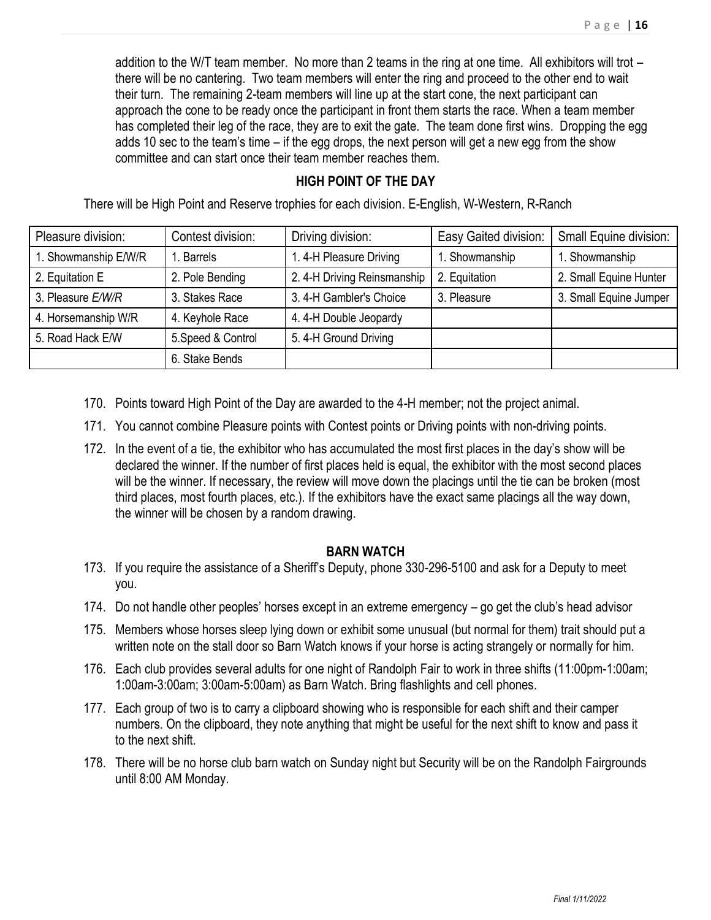addition to the W/T team member. No more than 2 teams in the ring at one time. All exhibitors will trot – there will be no cantering. Two team members will enter the ring and proceed to the other end to wait their turn. The remaining 2-team members will line up at the start cone, the next participant can approach the cone to be ready once the participant in front them starts the race. When a team member has completed their leg of the race, they are to exit the gate. The team done first wins. Dropping the egg adds 10 sec to the team's time – if the egg drops, the next person will get a new egg from the show committee and can start once their team member reaches them.

### **HIGH POINT OF THE DAY**

There will be High Point and Reserve trophies for each division. E-English, W-Western, R-Ranch

| Pleasure division:   | Contest division:  | Driving division:          | Easy Gaited division: | Small Equine division: |
|----------------------|--------------------|----------------------------|-----------------------|------------------------|
| 1. Showmanship E/W/R | I. Barrels         | 1.4-H Pleasure Driving     | 1. Showmanship        | 1. Showmanship         |
| 2. Equitation E      | 2. Pole Bending    | 2.4-H Driving Reinsmanship | 2. Equitation         | 2. Small Equine Hunter |
| 3. Pleasure E/W/R    | 3. Stakes Race     | 3.4-H Gambler's Choice     | 3. Pleasure           | 3. Small Equine Jumper |
| 4. Horsemanship W/R  | 4. Keyhole Race    | 4.4-H Double Jeopardy      |                       |                        |
| 5. Road Hack E/W     | 5. Speed & Control | 5.4-H Ground Driving       |                       |                        |
|                      | 6. Stake Bends     |                            |                       |                        |

- 170. Points toward High Point of the Day are awarded to the 4-H member; not the project animal.
- 171. You cannot combine Pleasure points with Contest points or Driving points with non-driving points.
- 172. In the event of a tie, the exhibitor who has accumulated the most first places in the day's show will be declared the winner. If the number of first places held is equal, the exhibitor with the most second places will be the winner. If necessary, the review will move down the placings until the tie can be broken (most third places, most fourth places, etc.). If the exhibitors have the exact same placings all the way down, the winner will be chosen by a random drawing.

### **BARN WATCH**

- 173. If you require the assistance of a Sheriff's Deputy, phone 330-296-5100 and ask for a Deputy to meet you.
- 174. Do not handle other peoples' horses except in an extreme emergency go get the club's head advisor
- 175. Members whose horses sleep lying down or exhibit some unusual (but normal for them) trait should put a written note on the stall door so Barn Watch knows if your horse is acting strangely or normally for him.
- 176. Each club provides several adults for one night of Randolph Fair to work in three shifts (11:00pm-1:00am; 1:00am-3:00am; 3:00am-5:00am) as Barn Watch. Bring flashlights and cell phones.
- 177. Each group of two is to carry a clipboard showing who is responsible for each shift and their camper numbers. On the clipboard, they note anything that might be useful for the next shift to know and pass it to the next shift.
- 178. There will be no horse club barn watch on Sunday night but Security will be on the Randolph Fairgrounds until 8:00 AM Monday.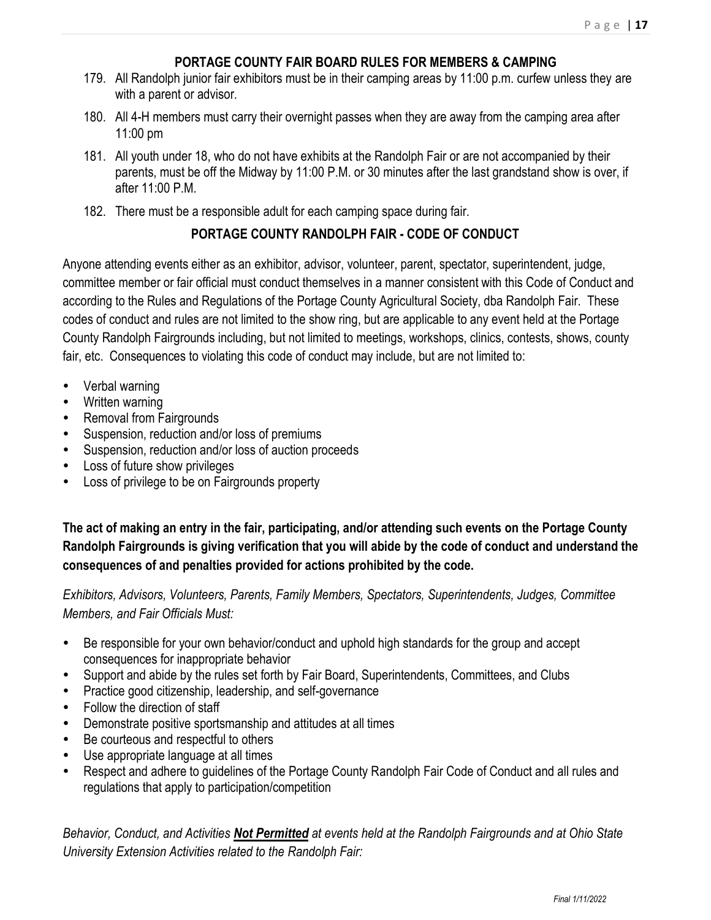# **PORTAGE COUNTY FAIR BOARD RULES FOR MEMBERS & CAMPING**

- 179. All Randolph junior fair exhibitors must be in their camping areas by 11:00 p.m. curfew unless they are with a parent or advisor.
- 180. All 4-H members must carry their overnight passes when they are away from the camping area after 11:00 pm
- 181. All youth under 18, who do not have exhibits at the Randolph Fair or are not accompanied by their parents, must be off the Midway by 11:00 P.M. or 30 minutes after the last grandstand show is over, if after  $11:00 \text{ P M}$
- 182. There must be a responsible adult for each camping space during fair.

# **PORTAGE COUNTY RANDOLPH FAIR - CODE OF CONDUCT**

Anyone attending events either as an exhibitor, advisor, volunteer, parent, spectator, superintendent, judge, committee member or fair official must conduct themselves in a manner consistent with this Code of Conduct and according to the Rules and Regulations of the Portage County Agricultural Society, dba Randolph Fair. These codes of conduct and rules are not limited to the show ring, but are applicable to any event held at the Portage County Randolph Fairgrounds including, but not limited to meetings, workshops, clinics, contests, shows, county fair, etc. Consequences to violating this code of conduct may include, but are not limited to:

- Verbal warning
- Written warning
- Removal from Fairgrounds
- Suspension, reduction and/or loss of premiums
- Suspension, reduction and/or loss of auction proceeds
- Loss of future show privileges
- Loss of privilege to be on Fairgrounds property

**The act of making an entry in the fair, participating, and/or attending such events on the Portage County Randolph Fairgrounds is giving verification that you will abide by the code of conduct and understand the consequences of and penalties provided for actions prohibited by the code.**

*Exhibitors, Advisors, Volunteers, Parents, Family Members, Spectators, Superintendents, Judges, Committee Members, and Fair Officials Must:*

- Be responsible for your own behavior/conduct and uphold high standards for the group and accept consequences for inappropriate behavior
- Support and abide by the rules set forth by Fair Board, Superintendents, Committees, and Clubs
- Practice good citizenship, leadership, and self-governance
- Follow the direction of staff
- Demonstrate positive sportsmanship and attitudes at all times
- Be courteous and respectful to others
- Use appropriate language at all times
- Respect and adhere to guidelines of the Portage County Randolph Fair Code of Conduct and all rules and regulations that apply to participation/competition

*Behavior, Conduct, and Activities Not Permitted at events held at the Randolph Fairgrounds and at Ohio State University Extension Activities related to the Randolph Fair:*